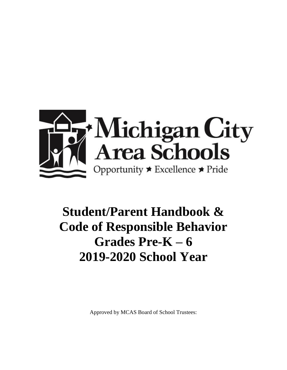

# **Student/Parent Handbook & Code of Responsible Behavior Grades Pre-K – 6 2019-2020 School Year**

Approved by MCAS Board of School Trustees: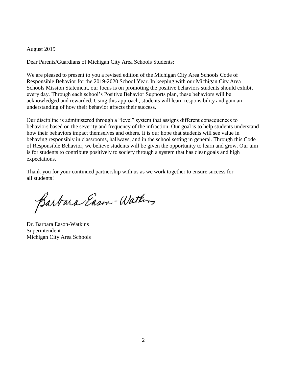#### August 2019

Dear Parents/Guardians of Michigan City Area Schools Students:

We are pleased to present to you a revised edition of the Michigan City Area Schools Code of Responsible Behavior for the 2019-2020 School Year. In keeping with our Michigan City Area Schools Mission Statement, our focus is on promoting the positive behaviors students should exhibit every day. Through each school's Positive Behavior Supports plan, these behaviors will be acknowledged and rewarded. Using this approach, students will learn responsibility and gain an understanding of how their behavior affects their success.

Our discipline is administered through a "level" system that assigns different consequences to behaviors based on the severity and frequency of the infraction. Our goal is to help students understand how their behaviors impact themselves and others. It is our hope that students will see value in behaving responsibly in classrooms, hallways, and in the school setting in general. Through this Code of Responsible Behavior, we believe students will be given the opportunity to learn and grow. Our aim is for students to contribute positively to society through a system that has clear goals and high expectations.

Thank you for your continued partnership with us as we work together to ensure success for all students!

Barbara Eason-Watters

Dr. Barbara Eason-Watkins Superintendent Michigan City Area Schools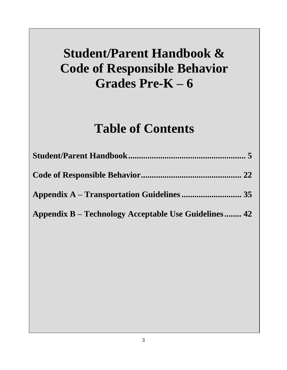# **Student/Parent Handbook & Code of Responsible Behavior Grades Pre-K – 6**

# **Table of Contents**

| Appendix B – Technology Acceptable Use Guidelines 42 |  |
|------------------------------------------------------|--|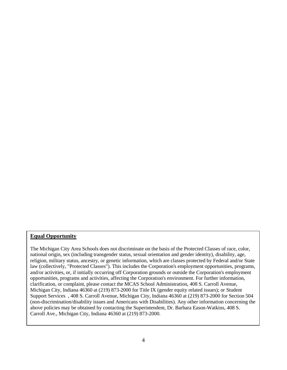#### **Equal Opportunity**

The Michigan City Area Schools does not discriminate on the basis of the Protected Classes of race, color, national origin, sex (including transgender status, sexual orientation and gender identity), disability, age, religion, military status, ancestry, or genetic information, which are classes protected by Federal and/or State law (collectively, "Protected Classes"). This includes the Corporation's employment opportunities, programs, and/or activities, or, if initially occurring off Corporation grounds or outside the Corporation's employment opportunities, programs and activities, affecting the Corporation's environment. For further information, clarification, or complaint, please contact the MCAS School Administration, 408 S. Carroll Avenue, Michigan City, Indiana 46360 at (219) 873-2000 for Title IX (gender equity related issues); or Student Support Services , 408 S. Carroll Avenue, Michigan City, Indiana 46360 at (219) 873-2000 for Section 504 (non-discrimination/disability issues and Americans with Disabilities). Any other information concerning the above policies may be obtained by contacting the Superintendent, Dr. Barbara Eason-Watkins, 408 S. Carroll Ave., Michigan City, Indiana 46360 at (219) 873-2000.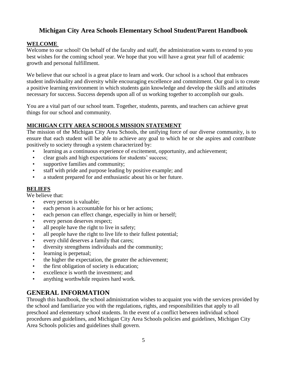# **Michigan City Area Schools Elementary School Student/Parent Handbook**

# **WELCOME**

Welcome to our school! On behalf of the faculty and staff, the administration wants to extend to you best wishes for the coming school year. We hope that you will have a great year full of academic growth and personal fulfillment.

We believe that our school is a great place to learn and work. Our school is a school that embraces student individuality and diversity while encouraging excellence and commitment. Our goal is to create a positive learning environment in which students gain knowledge and develop the skills and attitudes necessary for success. Success depends upon all of us working together to accomplish our goals.

You are a vital part of our school team. Together, students, parents, and teachers can achieve great things for our school and community.

# **MICHIGAN CITY AREA SCHOOLS MISSION STATEMENT**

The mission of the Michigan City Area Schools, the unifying force of our diverse community, is to ensure that each student will be able to achieve any goal to which he or she aspires and contribute positively to society through a system characterized by:

- learning as a continuous experience of excitement, opportunity, and achievement;
- clear goals and high expectations for students' success;
- supportive families and community;
- staff with pride and purpose leading by positive example; and
- a student prepared for and enthusiastic about his or her future.

# **BELIEFS**

We believe that:

- every person is valuable;
- each person is accountable for his or her actions;
- each person can effect change, especially in him or herself;
- every person deserves respect;
- all people have the right to live in safety;
- all people have the right to live life to their fullest potential;
- every child deserves a family that cares;
- diversity strengthens individuals and the community;
- learning is perpetual;
- the higher the expectation, the greater the achievement;
- the first obligation of society is education;
- excellence is worth the investment; and
- anything worthwhile requires hard work.

# **GENERAL INFORMATION**

Through this handbook, the school administration wishes to acquaint you with the services provided by the school and familiarize you with the regulations, rights, and responsibilities that apply to all preschool and elementary school students. In the event of a conflict between individual school procedures and guidelines, and Michigan City Area Schools policies and guidelines, Michigan City Area Schools policies and guidelines shall govern.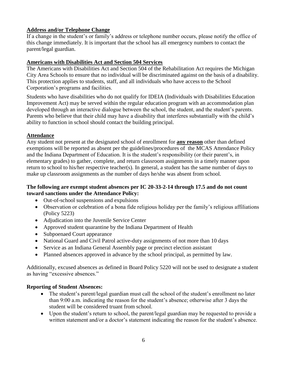# **Address and/or Telephone Change**

If a change in the student's or family's address or telephone number occurs, please notify the office of this change immediately. It is important that the school has all emergency numbers to contact the parent/legal guardian.

### **Americans with Disabilities Act and Section 504 Services**

The Americans with Disabilities Act and Section 504 of the Rehabilitation Act requires the Michigan City Area Schools to ensure that no individual will be discriminated against on the basis of a disability. This protection applies to students, staff, and all individuals who have access to the School Corporation's programs and facilities.

Students who have disabilities who do not qualify for IDEIA (Individuals with Disabilities Education Improvement Act) may be served within the regular education program with an accommodation plan developed through an interactive dialogue between the school, the student, and the student's parents. Parents who believe that their child may have a disability that interferes substantially with the child's ability to function in school should contact the building principal.

# **Attendance**

Any student not present at the designated school of enrollment for **any reason** other than defined exemptions will be reported as absent per the guidelines/procedures of the MCAS Attendance Policy and the Indiana Department of Education. It is the student's responsibility (or their parent's, in elementary grades) to gather, complete, and return classroom assignments in a timely manner upon return to school to his/her respective teacher(s). In general, a student has the same number of days to make up classroom assignments as the number of days he/she was absent from school.

# **The following are exempt student absences per IC 20-33-2-14 through 17.5 and do not count toward sanctions under the Attendance Policy:**

- Out-of-school suspensions and expulsions
- Observation or celebration of a bona fide religious holiday per the family's religious affiliations (Policy 5223)
- Adjudication into the Juvenile Service Center
- Approved student quarantine by the Indiana Department of Health
- Subpoenaed Court appearance
- National Guard and Civil Patrol active-duty assignments of not more than 10 days
- Service as an Indiana General Assembly page or precinct election assistant
- Planned absences approved in advance by the school principal, as permitted by law.

Additionally, excused absences as defined in Board Policy 5220 will not be used to designate a student as having "excessive absences."

# **Reporting of Student Absences:**

- The student's parent/legal guardian must call the school of the student's enrollment no later than 9:00 a.m. indicating the reason for the student's absence; otherwise after 3 days the student will be considered truant from school.
- Upon the student's return to school, the parent/legal guardian may be requested to provide a written statement and/or a doctor's statement indicating the reason for the student's absence.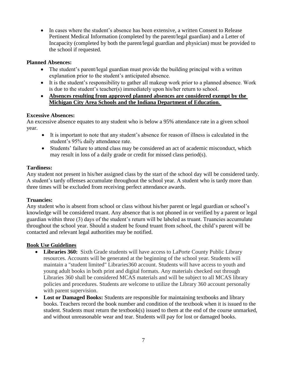• In cases where the student's absence has been extensive, a written Consent to Release Pertinent Medical Information (completed by the parent/legal guardian) and a Letter of Incapacity (completed by both the parent/legal guardian and physician) must be provided to the school if requested.

### **Planned Absences:**

- The student's parent/legal guardian must provide the building principal with a written explanation prior to the student's anticipated absence.
- It is the student's responsibility to gather all makeup work prior to a planned absence. Work is due to the student's teacher(s) immediately upon his/her return to school.
- **Absences resulting from approved planned absences are considered exempt by the Michigan City Area Schools and the Indiana Department of Education.**

#### **Excessive Absences:**

An excessive absence equates to any student who is below a 95% attendance rate in a given school year.

- It is important to note that any student's absence for reason of illness is calculated in the student's 95% daily attendance rate.
- Students' failure to attend class may be considered an act of academic misconduct, which may result in loss of a daily grade or credit for missed class period(s).

#### **Tardiness:**

Any student not present in his/her assigned class by the start of the school day will be considered tardy. A student's tardy offenses accumulate throughout the school year. A student who is tardy more than three times will be excluded from receiving perfect attendance awards.

#### **Truancies:**

Any student who is absent from school or class without his/her parent or legal guardian or school's knowledge will be considered truant. Any absence that is not phoned in or verified by a parent or legal guardian within three (3) days of the student's return will be labeled as truant. Truancies accumulate throughout the school year. Should a student be found truant from school, the child's parent will be contacted and relevant legal authorities may be notified.

# **Book Use Guidelines**

- **Libraries 360:** Sixth Grade students will have access to LaPorte County Public Library resources. Accounts will be generated at the beginning of the school year. Students will maintain a "student limited" Libraries360 account. Students will have access to youth and young adult books in both print and digital formats. Any materials checked out through Libraries 360 shall be considered MCAS materials and will be subject to all MCAS library policies and procedures. Students are welcome to utilize the Library 360 account personally with parent supervision.
- Lost or Damaged Books: Students are responsible for maintaining textbooks and library books. Teachers record the book number and condition of the textbook when it is issued to the student. Students must return the textbook(s) issued to them at the end of the course unmarked, and without unreasonable wear and tear. Students will pay for lost or damaged books.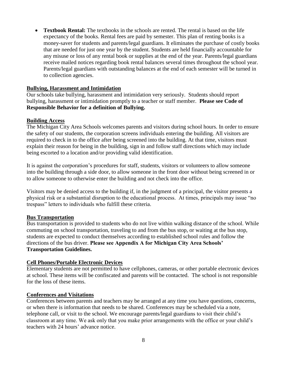• **Textbook Rental:** The textbooks in the schools are rented. The rental is based on the life expectancy of the books. Rental fees are paid by semester. This plan of renting books is a money-saver for students and parents/legal guardians. It eliminates the purchase of costly books that are needed for just one year by the student. Students are held financially accountable for any misuse or loss of any rental book or supplies at the end of the year. Parents/legal guardians receive mailed notices regarding book rental balances several times throughout the school year. Parents/legal guardians with outstanding balances at the end of each semester will be turned in to collection agencies.

#### **Bullying, Harassment and Intimidation**

Our schools take bullying, harassment and intimidation very seriously. Students should report bullying, harassment or intimidation promptly to a teacher or staff member. **Please see Code of Responsible Behavior for a definition of Bullying.**

#### **Building Access**

The Michigan City Area Schools welcomes parents and visitors during school hours. In order to ensure the safety of our students, the corporation screens individuals entering the building. All visitors are required to check in to the office after being screened into the building. At that time, visitors must explain their reason for being in the building, sign in and follow staff directions which may include being escorted to a location and/or providing valid identification.

It is against the corporation's procedures for staff, students, visitors or volunteers to allow someone into the building through a side door, to allow someone in the front door without being screened in or to allow someone to otherwise enter the building and not check into the office.

Visitors may be denied access to the building if, in the judgment of a principal, the visitor presents a physical risk or a substantial disruption to the educational process. At times, principals may issue "no trespass" letters to individuals who fulfill these criteria.

#### **Bus Transportation**

Bus transportation is provided to students who do not live within walking distance of the school. While commuting on school transportation, traveling to and from the bus stop, or waiting at the bus stop, students are expected to conduct themselves according to established school rules and follow the directions of the bus driver. **Please see Appendix A for Michigan City Area Schools' Transportation Guidelines.** 

#### **Cell Phones/Portable Electronic Devices**

Elementary students are not permitted to have cellphones, cameras, or other portable electronic devices at school. These items will be confiscated and parents will be contacted. The school is not responsible for the loss of these items.

#### **Conferences and Visitations**

Conferences between parents and teachers may be arranged at any time you have questions, concerns, or when there is information that needs to be shared. Conferences may be scheduled via a note, telephone call, or visit to the school. We encourage parents/legal guardians to visit their child's classroom at any time. We ask only that you make prior arrangements with the office or your child's teachers with 24 hours' advance notice.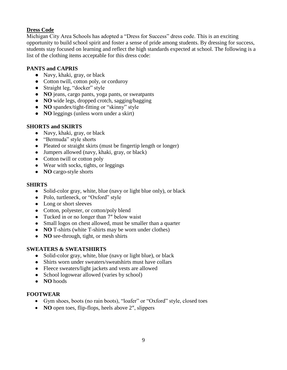# **Dress Code**

Michigan City Area Schools has adopted a "Dress for Success" dress code. This is an exciting opportunity to build school spirit and foster a sense of pride among students. By dressing for success, students stay focused on learning and reflect the high standards expected at school. The following is a list of the clothing items acceptable for this dress code:

### **PANTS and CAPRIS**

- Navy, khaki, gray, or black
- Cotton twill, cotton poly, or corduroy
- Straight leg, "docker" style
- **NO** jeans, cargo pants, yoga pants, or sweatpants
- **NO** wide legs, dropped crotch, sagging/bagging
- **NO** spandex/tight-fitting or "skinny" style
- **NO** leggings (unless worn under a skirt)

#### **SHORTS and SKIRTS**

- Navy, khaki, gray, or black
- "Bermuda" style shorts
- Pleated or straight skirts (must be fingertip length or longer)
- Jumpers allowed (navy, khaki, gray, or black)
- Cotton twill or cotton poly
- Wear with socks, tights, or leggings
- **NO** cargo-style shorts

#### **SHIRTS**

- Solid-color gray, white, blue (navy or light blue only), or black
- Polo, turtleneck, or "Oxford" style
- Long or short sleeves
- Cotton, polyester, or cotton/poly blend
- Tucked in or no longer than 7" below waist
- Small logos on chest allowed, must be smaller than a quarter
- **NO** T-shirts (white T-shirts may be worn under clothes)
- **NO** see-through, tight, or mesh shirts

# **SWEATERS & SWEATSHIRTS**

- Solid-color gray, white, blue (navy or light blue), or black
- Shirts worn under sweaters/sweatshirts must have collars
- Fleece sweaters/light jackets and vests are allowed
- School logowear allowed (varies by school)
- **NO** hoods

#### **FOOTWEAR**

- Gym shoes, boots (no rain boots), "loafer" or "Oxford" style, closed toes
- **NO** open toes, flip-flops, heels above 2'', slippers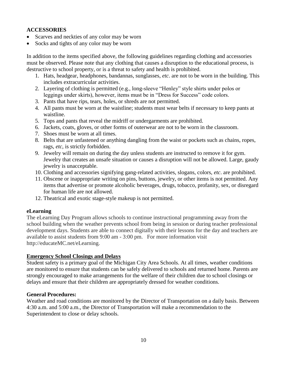# **ACCESSORIES**

- Scarves and neckties of any color may be worn
- Socks and tights of any color may be worn

In addition to the items specified above, the following guidelines regarding clothing and accessories must be observed. Please note that any clothing that causes a disruption to the educational process, is destructive to school property, or is a threat to safety and health is prohibited.

- 1. Hats, headgear, headphones, bandannas, sunglasses, *etc*. are not to be worn in the building. This includes extracurricular activities.
- 2. Layering of clothing is permitted (e.g., long-sleeve "Henley" style shirts under polos or leggings under skirts), however, items must be in "Dress for Success" code colors.
- 3. Pants that have rips, tears, holes, or shreds are not permitted.
- 4. All pants must be worn at the waistline; students must wear belts if necessary to keep pants at waistline.
- 5. Tops and pants that reveal the midriff or undergarments are prohibited.
- 6. Jackets, coats, gloves, or other forms of outerwear are not to be worn in the classroom.
- 7. Shoes must be worn at all times.
- 8. Belts that are unfastened or anything dangling from the waist or pockets such as chains, ropes, rags, *etc*, is strictly forbidden.
- 9. Jewelry will remain on during the day unless students are instructed to remove it for gym. Jewelry that creates an unsafe situation or causes a disruption will not be allowed. Large, gaudy jewelry is unacceptable.
- 10. Clothing and accessories signifying gang-related activities, slogans, colors, *etc*. are prohibited.
- 11. Obscene or inappropriate writing on pins, buttons, jewelry, or other items is not permitted. Any items that advertise or promote alcoholic beverages, drugs, tobacco, profanity, sex, or disregard for human life are not allowed.
- 12. Theatrical and exotic stage-style makeup is not permitted.

#### **eLearning**

The eLearning Day Program allows schools to continue instructional programming away from the school building when the weather prevents school from being in session or during teacher professional development days. Students are able to connect digitally with their lessons for the day and teachers are available to assist students from 9:00 am - 3:00 pm. For more information visit http://educateMC.net/eLearning.

#### **Emergency School Closings and Delays**

Student safety is a primary goal of the Michigan City Area Schools. At all times, weather conditions are monitored to ensure that students can be safely delivered to schools and returned home. Parents are strongly encouraged to make arrangements for the welfare of their children due to school closings or delays and ensure that their children are appropriately dressed for weather conditions.

#### **General Procedures:**

Weather and road conditions are monitored by the Director of Transportation on a daily basis. Between 4:30 a.m. and 5:00 a.m., the Director of Transportation will make a recommendation to the Superintendent to close or delay schools.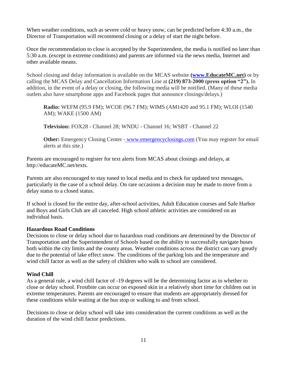When weather conditions, such as severe cold or heavy snow, can be predicted before 4:30 a.m., the Director of Transportation will recommend closing or a delay of start the night before.

Once the recommendation to close is accepted by the Superintendent, the media is notified no later than 5:30 a.m. (except in extreme conditions) and parents are informed via the news media, Internet and other available means.

School closing and delay information is available on the MCAS website **[\(www.E](http://www.mcas.k12.in.us/)ducateMC.net)** or by calling the MCAS Delay and Cancellation Information Line at **(219) 873-2000 (press option "2").** In addition, in the event of a delay or closing, the following media will be notified. (Many of these media outlets also have smartphone apps and Facebook pages that announce closings/delays.)

**Radio:** WEFM (95.9 FM); WCOE (96.7 FM); WIMS (AM1420 and 95.1 FM); WLOI (1540 AM); WAKE (1500 AM)

**Television:** FOX28 - Channel 28; WNDU - Channel 16; WSBT - Channel 22

**Other:** Emergency Closing Center - [www.emergencyclosings.com](http://www.emergencyclosings.com/) (You may register for email alerts at this site.)

Parents are encouraged to register for text alerts from MCAS about closings and delays, at http://educateMC.net/texts.

Parents are also encouraged to stay tuned to local media and to check for updated text messages, particularly in the case of a school delay. On rare occasions a decision may be made to move from a delay status to a closed status.

If school is closed for the entire day, after-school activities, Adult Education courses and Safe Harbor and Boys and Girls Club are all canceled. High school athletic activities are considered on an individual basis.

#### **Hazardous Road Conditions**

Decisions to close or delay school due to hazardous road conditions are determined by the Director of Transportation and the Superintendent of Schools based on the ability to successfully navigate buses both within the city limits and the county areas. Weather conditions across the district can vary greatly due to the potential of lake effect snow. The conditions of the parking lots and the temperature and wind chill factor as well as the safety of children who walk to school are considered.

# **Wind Chill**

As a general rule, a wind chill factor of -19 degrees will be the determining factor as to whether to close or delay school. Frostbite can occur on exposed skin in a relatively short time for children out in extreme temperatures. Parents are encouraged to ensure that students are appropriately dressed for these conditions while waiting at the bus stop or walking to and from school.

Decisions to close or delay school will take into consideration the current conditions as well as the duration of the wind chill factor predictions.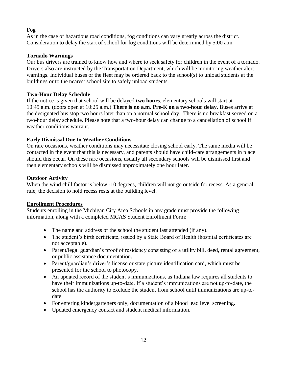# **Fog**

As in the case of hazardous road conditions, fog conditions can vary greatly across the district. Consideration to delay the start of school for fog conditions will be determined by 5:00 a.m.

# **Tornado Warnings**

Our bus drivers are trained to know how and where to seek safety for children in the event of a tornado. Drivers also are instructed by the Transportation Department, which will be monitoring weather alert warnings. Individual buses or the fleet may be ordered back to the school(s) to unload students at the buildings or to the nearest school site to safely unload students.

# **Two-Hour Delay Schedule**

If the notice is given that school will be delayed **two hours**, elementary schools will start at 10:45 a.m. (doors open at 10:25 a.m.) **There is no a.m. Pre-K on a two-hour delay.** Buses arrive at the designated bus stop two hours later than on a normal school day. There is no breakfast served on a two-hour delay schedule. Please note that a two-hour delay can change to a cancellation of school if weather conditions warrant.

# **Early Dismissal Due to Weather Conditions**

On rare occasions, weather conditions may necessitate closing school early. The same media will be contacted in the event that this is necessary, and parents should have child-care arrangements in place should this occur. On these rare occasions, usually all secondary schools will be dismissed first and then elementary schools will be dismissed approximately one hour later.

# **Outdoor Activity**

When the wind chill factor is below -10 degrees, children will not go outside for recess. As a general rule, the decision to hold recess rests at the building level.

# **Enrollment Procedures**

Students enrolling in the Michigan City Area Schools in any grade must provide the following information, along with a completed MCAS Student Enrollment Form:

- The name and address of the school the student last attended (if any).
- The student's birth certificate, issued by a State Board of Health (hospital certificates are not acceptable).
- Parent/legal guardian's proof of residency consisting of a utility bill, deed, rental agreement, or public assistance documentation.
- Parent/guardian's driver's license or state picture identification card, which must be presented for the school to photocopy.
- An updated record of the student's immunizations, as Indiana law requires all students to have their immunizations up-to-date. If a student's immunizations are not up-to-date, the school has the authority to exclude the student from school until immunizations are up-todate.
- For entering kindergarteners only, documentation of a blood lead level screening.
- Updated emergency contact and student medical information.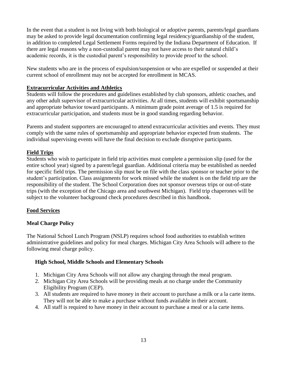In the event that a student is not living with both biological or adoptive parents, parents/legal guardians may be asked to provide legal documentation confirming legal residency/guardianship of the student, in addition to completed Legal Settlement Forms required by the Indiana Department of Education. If there are legal reasons why a non-custodial parent may not have access to their natural child's academic records, it is the custodial parent's responsibility to provide proof to the school.

New students who are in the process of expulsion/suspension or who are expelled or suspended at their current school of enrollment may not be accepted for enrollment in MCAS.

#### **Extracurricular Activities and Athletics**

Students will follow the procedures and guidelines established by club sponsors, athletic coaches, and any other adult supervisor of extracurricular activities. At all times, students will exhibit sportsmanship and appropriate behavior toward participants. A minimum grade point average of 1.5 is required for extracurricular participation, and students must be in good standing regarding behavior.

Parents and student supporters are encouraged to attend extracurricular activities and events. They must comply with the same rules of sportsmanship and appropriate behavior expected from students. The individual supervising events will have the final decision to exclude disruptive participants.

#### **Field Trips**

Students who wish to participate in field trip activities must complete a permission slip (used for the entire school year) signed by a parent/legal guardian. Additional criteria may be established as needed for specific field trips. The permission slip must be on file with the class sponsor or teacher prior to the student's participation. Class assignments for work missed while the student is on the field trip are the responsibility of the student. The School Corporation does not sponsor overseas trips or out-of-state trips (with the exception of the Chicago area and southwest Michigan). Field trip chaperones will be subject to the volunteer background check procedures described in this handbook.

# **Food Services**

#### **Meal Charge Policy**

The National School Lunch Program (NSLP) requires school food authorities to establish written administrative guidelines and policy for meal charges. Michigan City Area Schools will adhere to the following meal charge policy.

#### **High School, Middle Schools and Elementary Schools**

- 1. Michigan City Area Schools will not allow any charging through the meal program.
- 2. Michigan City Area Schools will be providing meals at no charge under the Community Eligibility Program (CEP).
- 3. All students are required to have money in their account to purchase a milk or a la carte items. They will not be able to make a purchase without funds available in their account.
- 4. All staff is required to have money in their account to purchase a meal or a la carte items.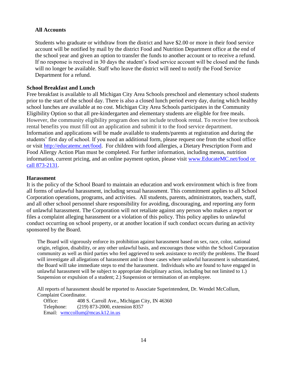#### **All Accounts**

Students who graduate or withdraw from the district and have \$2.00 or more in their food service account will be notified by mail by the district Food and Nutrition Department office at the end of the school year and given an option to transfer the funds to another account or to receive a refund. If no response is received in 30 days the student's food service account will be closed and the funds will no longer be available. Staff who leave the district will need to notify the Food Service Department for a refund.

#### **School Breakfast and Lunch**

Free breakfast is available to all Michigan City Area Schools preschool and elementary school students prior to the start of the school day. There is also a closed lunch period every day, during which healthy school lunches are available at no cost. Michigan City Area Schools participates in the Community Eligibility Option so that all pre-kindergarten and elementary students are eligible for free meals. However, the community eligibility program does not include textbook rental. To receive free textbook rental benefits you must fill out an application and submit it to the food service department. Information and applications will be made available to students/parents at registration and during the students' first day of school. If you need an additional form, please request one from the school office or visit [http://educatemc.net/food.](http://educatemc.net/food) For children with food allergies, a Dietary Prescription Form and Food Allergy Action Plan must be completed. For further information, including menus, nutrition information, current pricing, and an online payment option, please visit [www.EducateMC.net/food or](http://www.educatemc.net/food%20or%20call%20873-2131)  [call 873-2131.](http://www.educatemc.net/food%20or%20call%20873-2131)

#### **Harassment**

It is the policy of the School Board to maintain an education and work environment which is free from all forms of unlawful harassment, including sexual harassment. This commitment applies to all School Corporation operations, programs, and activities. All students, parents, administrators, teachers, staff, and all other school personnel share responsibility for avoiding, discouraging, and reporting any form of unlawful harassment. The Corporation will not retaliate against any person who makes a report or files a complaint alleging harassment or a violation of this policy. This policy applies to unlawful conduct occurring on school property, or at another location if such conduct occurs during an activity sponsored by the Board.

The Board will vigorously enforce its prohibition against harassment based on sex, race, color, national origin, religion, disability, or any other unlawful basis, and encourages those within the School Corporation community as well as third parties who feel aggrieved to seek assistance to rectify the problems. The Board will investigate all allegations of harassment and in those cases where unlawful harassment is substantiated, the Board will take immediate steps to end the harassment. Individuals who are found to have engaged in unlawful harassment will be subject to appropriate disciplinary action, including but not limited to 1.) Suspension or expulsion of a student; 2.) Suspension or termination of an employee.

All reports of harassment should be reported to Associate Superintendent, Dr. Wendel McCollum, Complaint Coordinator.

Office: 408 S. Carroll Ave., Michigan City, IN 46360 Telephone: (219) 873-2000, extension 8357 Email: [wmccollum@mcas.k12.in.us](mailto:wmccollum@mcas.k12.in.us)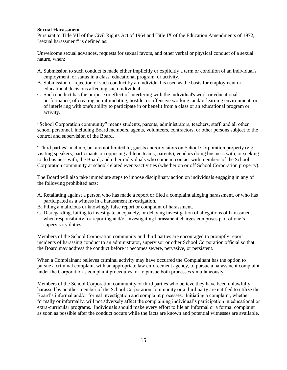#### **Sexual Harassment**

Pursuant to Title VII of the Civil Rights Act of 1964 and Title IX of the Education Amendments of 1972, "sexual harassment" is defined as:

Unwelcome sexual advances, requests for sexual favors, and other verbal or physical conduct of a sexual nature, when:

- A. Submission to such conduct is made either implicitly or explicitly a term or condition of an individual's employment, or status in a class, educational program, or activity.
- B. Submission or rejection of such conduct by an individual is used as the basis for employment or educational decisions affecting such individual.
- C. Such conduct has the purpose or effect of interfering with the individual's work or educational performance; of creating an intimidating, hostile, or offensive working, and/or learning environment; or of interfering with one's ability to participate in or benefit from a class or an educational program or activity.

"School Corporation community" means students, parents, administrators, teachers, staff, and all other school personnel, including Board members, agents, volunteers, contractors, or other persons subject to the control and supervision of the Board.

"Third parties" include, but are not limited to, guests and/or visitors on School Corporation property (e.g., visiting speakers, participants on opposing athletic teams, parents), vendors doing business with, or seeking to do business with, the Board, and other individuals who come in contact with members of the School Corporation community at school-related events/activities (whether on or off School Corporation property).

The Board will also take immediate steps to impose disciplinary action on individuals engaging in any of the following prohibited acts:

- A. Retaliating against a person who has made a report or filed a complaint alleging harassment, or who has participated as a witness in a harassment investigation.
- B. Filing a malicious or knowingly false report or complaint of harassment.
- C. Disregarding, failing to investigate adequately, or delaying investigation of allegations of harassment when responsibility for reporting and/or investigating harassment charges comprises part of one's supervisory duties.

Members of the School Corporation community and third parties are encouraged to promptly report incidents of harassing conduct to an administrator, supervisor or other School Corporation official so that the Board may address the conduct before it becomes severe, pervasive, or persistent.

When a Complainant believes criminal activity may have occurred the Complainant has the option to pursue a criminal complaint with an appropriate law enforcement agency, to pursue a harassment complaint under the Corporation's complaint procedures, or to pursue both processes simultaneously.

Members of the School Corporation community or third parties who believe they have been unlawfully harassed by another member of the School Corporation community or a third party are entitled to utilize the Board's informal and/or formal investigation and complaint processes. Initiating a complaint, whether formally or informally, will not adversely affect the complaining individual's participation in educational or extra-curricular programs. Individuals should make every effort to file an informal or a formal complaint as soon as possible after the conduct occurs while the facts are known and potential witnesses are available.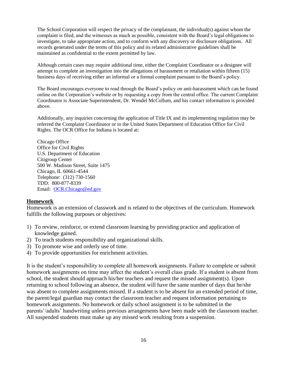The School Corporation will respect the privacy of the complainant, the individual(s) against whom the complaint is filed, and the witnesses as much as possible, consistent with the Board's legal obligations to investigate, to take appropriate action, and to conform with any discovery or disclosure obligations. All records generated under the terms of this policy and its related administrative guidelines shall be maintained as confidential to the extent permitted by law.

Although certain cases may require additional time, either the Complaint Coordinator or a designee will attempt to complete an investigation into the allegations of harassment or retaliation within fifteen (15) business days of receiving either an informal or a formal complaint pursuant to the Board's policy.

The Board encourages everyone to read through the Board's policy on anti-harassment which can be found online on the Corporation's website or by requesting a copy from the central office. The current Complaint Coordinator is Associate Superintendent, Dr. Wendel McCollum, and his contact information is provided above.

Additionally, any inquiries concerning the application of Title IX and its implementing regulation may be referred the Complaint Coordinator or to the United States Department of Education Office for Civil Rights. The OCR Office for Indiana is located at:

Chicago Office Office for Civil Rights U.S. Department of Education Citigroup Center 500 W. Madison Street, Suite 1475 Chicago, IL 60661-4544 Telephone: (312) 730-1560 TDD: 800-877-8339 Email: [OCR.Chicago@ed.gov](mailto:OCR.Chicago@ed.gov)

#### **Homework**

Homework is an extension of classwork and is related to the objectives of the curriculum. Homework fulfills the following purposes or objectives:

- 1) To review, reinforce, or extend classroom learning by providing practice and application of knowledge gained.
- 2) To teach students responsibility and organizational skills.
- 3) To promote wise and orderly use of time.
- 4) To provide opportunities for enrichment activities.

It is the student's responsibility to complete all homework assignments. Failure to complete or submit homework assignments on time may affect the student's overall class grade. If a student is absent from school, the student should approach his/her teachers and request the missed assignment(s). Upon returning to school following an absence, the student will have the same number of days that he/she was absent to complete assignments missed. If a student is to be absent for an extended period of time, the parent/legal guardian may contact the classroom teacher and request information pertaining to homework assignments. No homework or daily school assignment is to be submitted in the parents'/adults' handwriting unless previous arrangements have been made with the classroom teacher. All suspended students must make up any missed work resulting from a suspension.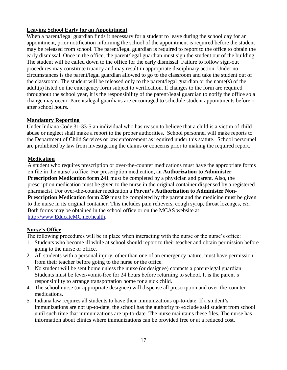#### **Leaving School Early for an Appointment**

When a parent/legal guardian finds it necessary for a student to leave during the school day for an appointment, prior notification informing the school of the appointment is required before the student may be released from school. The parent/legal guardian is required to report to the office to obtain the early dismissal. Once in the office, the parent/legal guardian must sign the student out of the building. The student will be called down to the office for the early dismissal. Failure to follow sign-out procedures may constitute truancy and may result in appropriate disciplinary action. Under no circumstances is the parent/legal guardian allowed to go to the classroom and take the student out of the classroom. The student will be released only to the parent/legal guardian or the name(s) of the adult(s) listed on the emergency form subject to verification. If changes to the form are required throughout the school year, it is the responsibility of the parent/legal guardian to notify the office so a change may occur. Parents/legal guardians are encouraged to schedule student appointments before or after school hours.

#### **Mandatory Reporting**

Under Indiana Code 31-33-5 an individual who has reason to believe that a child is a victim of child abuse or neglect shall make a report to the proper authorities. School personnel will make reports to the Department of Child Services or law enforcement as required under this statute. School personnel are prohibited by law from investigating the claims or concerns prior to making the required report.

#### **Medication**

A student who requires prescription or over-the-counter medications must have the appropriate forms on file in the nurse's office. For prescription medication, an **Authorization to Administer Prescription Medication form 241** must be completed by a physician and parent. Also, the prescription medication must be given to the nurse in the original container dispensed by a registered pharmacist. For over-the-counter medication a **Parent's Authorization to Administer Non-Prescription Medication form 239** must be completed by the parent and the medicine must be given to the nurse in its original container. This includes pain relievers, cough syrup, throat lozenges, *etc*. Both forms may be obtained in the school office or on the MCAS website a[t](http://www.mcas.k12.in.us/health) [http://www.E](http://www.mcas.k12.in.us/health)ducateMC.ne[t/health.](http://www.mcas.k12.in.us/health)

# **Nurse's Office**

The following procedures will be in place when interacting with the nurse or the nurse's office:

- 1. Students who become ill while at school should report to their teacher and obtain permission before going to the nurse or office.
- 2. All students with a personal injury, other than one of an emergency nature, must have permission from their teacher before going to the nurse or the office.
- 3. No student will be sent home unless the nurse (or designee) contacts a parent/legal guardian. Students must be fever/vomit-free for 24 hours before returning to school. It is the parent's responsibility to arrange transportation home for a sick child.
- 4. The school nurse (or appropriate designee) will dispense all prescription and over-the-counter medications.
- 5. Indiana law requires all students to have their immunizations up-to-date. If a student's immunizations are not up-to-date, the school has the authority to exclude said student from school until such time that immunizations are up-to-date. The nurse maintains these files. The nurse has information about clinics where immunizations can be provided free or at a reduced cost.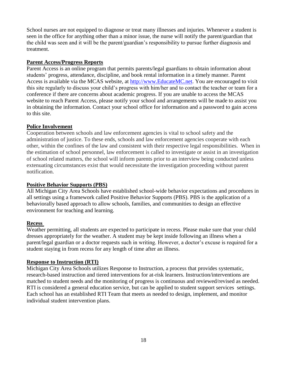School nurses are not equipped to diagnose or treat many illnesses and injuries. Whenever a student is seen in the office for anything other than a minor issue, the nurse will notify the parent/guardian that the child was seen and it will be the parent/guardian's responsibility to pursue further diagnosis and treatment.

#### **Parent Access/Progress Reports**

Parent Access is an online program that permits parents/legal guardians to obtain information about students' progress, attendance, discipline, and book rental information in a timely manner. Parent Access is available via the MCAS website, at [http://www.EducateMC.net.](http://www.educatemc.net/) You are encouraged to visit this site regularly to discuss your child's progress with him/her and to contact the teacher or team for a conference if there are concerns about academic progress. If you are unable to access the MCAS website to reach Parent Access, please notify your school and arrangements will be made to assist you in obtaining the information. Contact your school office for information and a password to gain access to this site.

#### **Police Involvement**

Cooperation between schools and law enforcement agencies is vital to school safety and the administration of justice. To these ends, schools and law enforcement agencies cooperate with each other, within the confines of the law and consistent with their respective legal responsibilities. When in the estimation of school personnel, law enforcement is called to investigate or assist in an investigation of school related matters, the school will inform parents prior to an interview being conducted unless extenuating circumstances exist that would necessitate the investigation proceeding without parent notification.

#### **Positive Behavior Supports (PBS)**

All Michigan City Area Schools have established school-wide behavior expectations and procedures in all settings using a framework called Positive Behavior Supports (PBS). PBS is the application of a behaviorally based approach to allow schools, families, and communities to design an effective environment for teaching and learning.

#### **Recess**

Weather permitting, all students are expected to participate in recess. Please make sure that your child dresses appropriately for the weather. A student may be kept inside following an illness when a parent/legal guardian or a doctor requests such in writing. However, a doctor's excuse is required for a student staying in from recess for any length of time after an illness.

#### **Response to Instruction (RTI)**

Michigan City Area Schools utilizes Response to Instruction, a process that provides systematic, research-based instruction and tiered interventions for at-risk learners. Instruction/interventions are matched to student needs and the monitoring of progress is continuous and reviewed/revised as needed. RTI is considered a general education service, but can be applied to student support services settings. Each school has an established RTI Team that meets as needed to design, implement, and monitor individual student intervention plans.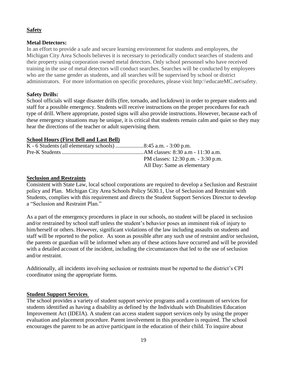#### **Safety**

#### **Metal Detectors:**

In an effort to provide a safe and secure learning environment for students and employees, the Michigan City Area Schools believes it is necessary to periodically conduct searches of students and their property using corporation owned metal detectors. Only school personnel who have received training in the use of metal detectors will conduct searches. Searches will be conducted by employees who are the same gender as students, and all searches will be supervised by school or district administrators. For more information on specific procedures, please visit http:\\educateMC.net\safety.

#### **Safety Drills:**

School officials will stage disaster drills (fire, tornado, and lockdown) in order to prepare students and staff for a possible emergency. Students will receive instructions on the proper procedures for each type of drill. Where appropriate, posted signs will also provide instructions. However, because each of these emergency situations may be unique, it is critical that students remain calm and quiet so they may hear the directions of the teacher or adult supervising them.

#### **School Hours (First Bell and Last Bell)**

| PM classes: 12:30 p.m. - 3:30 p.m. |
|------------------------------------|
| All Day: Same as elementary        |

#### **Seclusion and Restraints**

Consistent with State Law, local school corporations are required to develop a Seclusion and Restraint policy and Plan. Michigan City Area Schools Policy 5630.1, Use of Seclusion and Restraint with Students, complies with this requirement and directs the Student Support Services Director to develop a "Seclusion and Restraint Plan."

As a part of the emergency procedures in place in our schools, no student will be placed in seclusion and/or restrained by school staff unless the student's behavior poses an imminent risk of injury to him/herself or others. However, significant violations of the law including assaults on students and staff will be reported to the police. As soon as possible after any such use of restraint and/or seclusion, the parents or guardian will be informed when any of these actions have occurred and will be provided with a detailed account of the incident, including the circumstances that led to the use of seclusion and/or restraint.

Additionally, all incidents involving seclusion or restraints must be reported to the district's CPI coordinator using the appropriate forms.

# **Student Support Services**

The school provides a variety of student support service programs and a continuum of services for students identified as having a disability as defined by the Individuals with Disabilities Education Improvement Act (IDEIA). A student can access student support services only by using the proper evaluation and placement procedure. Parent involvement in this procedure is required. The school encourages the parent to be an active participant in the education of their child. To inquire about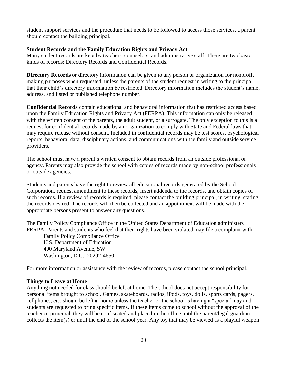student support services and the procedure that needs to be followed to access those services, a parent should contact the building principal.

#### **Student Records and the Family Education Rights and Privacy Act**

Many student records are kept by teachers, counselors, and administrative staff. There are two basic kinds of records: Directory Records and Confidential Records.

**Directory Records** or directory information can be given to any person or organization for nonprofit making purposes when requested, unless the parents of the student request in writing to the principal that their child's directory information be restricted. Directory information includes the student's name, address, and listed or published telephone number.

**Confidential Records** contain educational and behavioral information that has restricted access based upon the Family Education Rights and Privacy Act (FERPA). This information can only be released with the written consent of the parents, the adult student, or a surrogate. The only exception to this is a request for confidential records made by an organization to comply with State and Federal laws that may require release without consent. Included in confidential records may be test scores, psychological reports, behavioral data, disciplinary actions, and communications with the family and outside service providers.

The school must have a parent's written consent to obtain records from an outside professional or agency. Parents may also provide the school with copies of records made by non-school professionals or outside agencies.

Students and parents have the right to review all educational records generated by the School Corporation, request amendment to these records, insert addenda to the records, and obtain copies of such records. If a review of records is required, please contact the building principal, in writing, stating the records desired. The records will then be collected and an appointment will be made with the appropriate persons present to answer any questions.

The Family Policy Compliance Office in the United States Department of Education administers FERPA. Parents and students who feel that their rights have been violated may file a complaint with:

Family Policy Compliance Office U.S. Department of Education 400 Maryland Avenue, SW Washington, D.C. 20202-4650

For more information or assistance with the review of records, please contact the school principal.

#### **Things to Leave at Home**

Anything not needed for class should be left at home. The school does not accept responsibility for personal items brought to school. Games, skateboards, radios, iPods, toys, dolls, sports cards, pagers, cellphones, *etc*. should be left at home unless the teacher or the school is having a "special" day and students are requested to bring specific items. If these items come to school without the approval of the teacher or principal, they will be confiscated and placed in the office until the parent/legal guardian collects the item(s) or until the end of the school year. Any toy that may be viewed as a playful weapon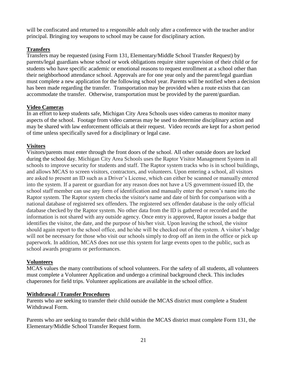will be confiscated and returned to a responsible adult only after a conference with the teacher and/or principal. Bringing toy weapons to school may be cause for disciplinary action.

# **Transfers**

Transfers may be requested (using Form 131, Elementary/Middle School Transfer Request) by parents/legal guardians whose school or work obligations require sitter supervision of their child or for students who have specific academic or emotional reasons to request enrollment at a school other than their neighborhood attendance school. Approvals are for one year only and the parent/legal guardian must complete a new application for the following school year. Parents will be notified when a decision has been made regarding the transfer. Transportation may be provided when a route exists that can accommodate the transfer. Otherwise, transportation must be provided by the parent/guardian.

#### **Video Cameras**

In an effort to keep students safe, Michigan City Area Schools uses video cameras to monitor many aspects of the school. Footage from video cameras may be used to determine disciplinary action and may be shared with law enforcement officials at their request. Video records are kept for a short period of time unless specifically saved for a disciplinary or legal case.

# **Visitors**

Visitors/parents must enter through the front doors of the school. All other outside doors are locked during the school day. Michigan City Area Schools uses the Raptor Visitor Management System in all schools to improve security for students and staff. The Raptor system tracks who is in school buildings, and allows MCAS to screen visitors, contractors, and volunteers. Upon entering a school, all visitors are asked to present an ID such as a Driver's License, which can either be scanned or manually entered into the system. If a parent or guardian for any reason does not have a US government-issued ID, the school staff member can use any form of identification and manually enter the person's name into the Raptor system. The Raptor system checks the visitor's name and date of birth for comparison with a national database of registered sex offenders. The registered sex offender database is the only official database checked by the Raptor system. No other data from the ID is gathered or recorded and the information is not shared with any outside agency. Once entry is approved, Raptor issues a badge that identifies the visitor, the date, and the purpose of his/her visit. Upon leaving the school, the visitor should again report to the school office, and he/she will be checked out of the system. A visitor's badge will not be necessary for those who visit our schools simply to drop off an item in the office or pick up paperwork. In addition, MCAS does not use this system for large events open to the public, such as school awards programs or performances.

#### **Volunteers**

MCAS values the many contributions of school volunteers. For the safety of all students, all volunteers must complete a Volunteer Application and undergo a criminal background check. This includes chaperones for field trips. Volunteer applications are available in the school office.

#### **Withdrawal / Transfer Procedures**

Parents who are seeking to transfer their child outside the MCAS district must complete a Student Withdrawal Form.

Parents who are seeking to transfer their child within the MCAS district must complete Form 131, the Elementary/Middle School Transfer Request form.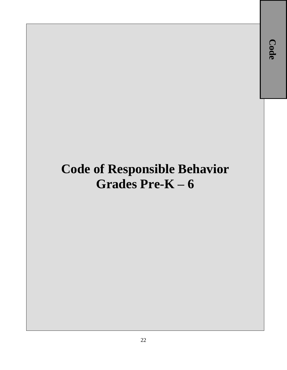# **Code of Responsible Behavior Grades Pre-K – 6**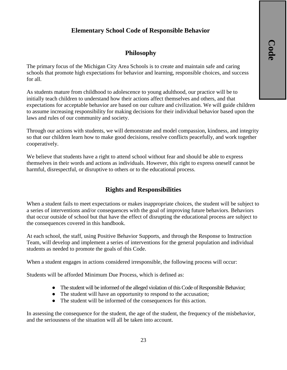# **Elementary School Code of Responsible Behavior**

# **Philosophy**

The primary focus of the Michigan City Area Schools is to create and maintain safe and caring schools that promote high expectations for behavior and learning, responsible choices, and success for all.

As students mature from childhood to adolescence to young adulthood, our practice will be to initially teach children to understand how their actions affect themselves and others, and that expectations for acceptable behavior are based on our culture and civilization. We will guide children to assume increasing responsibility for making decisions for their individual behavior based upon the laws and rules of our community and society.

Through our actions with students, we will demonstrate and model compassion, kindness, and integrity so that our children learn how to make good decisions, resolve conflicts peacefully, and work together cooperatively.

We believe that students have a right to attend school without fear and should be able to express themselves in their words and actions as individuals. However, this right to express oneself cannot be harmful, disrespectful, or disruptive to others or to the educational process.

# **Rights and Responsibilities**

When a student fails to meet expectations or makes inappropriate choices, the student will be subject to a series of interventions and/or consequences with the goal of improving future behaviors. Behaviors that occur outside of school but that have the effect of disrupting the educational process are subject to the consequences covered in this handbook.

At each school, the staff, using Positive Behavior Supports, and through the Response to Instruction Team, will develop and implement a series of interventions for the general population and individual students as needed to promote the goals of this Code.

When a student engages in actions considered irresponsible, the following process will occur:

Students will be afforded Minimum Due Process, which is defined as:

- The student will be informed of the alleged violation of this Code of Responsible Behavior;
- The student will have an opportunity to respond to the accusation;
- The student will be informed of the consequences for this action.

In assessing the consequence for the student, the age of the student, the frequency of the misbehavior, and the seriousness of the situation will all be taken into account.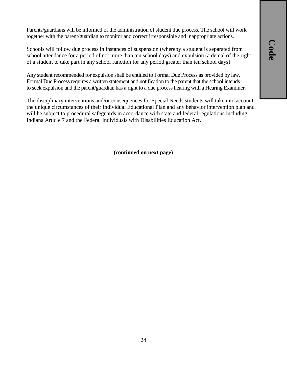**Code**

Parents/guardians will be informed of the administration of student due process. The school will work together with the parent/guardian to monitor and correct irresponsible and inappropriate actions.

Schools will follow due process in instances of suspension (whereby a student is separated from school attendance for a period of not more than ten school days) and expulsion (a denial of the right of a student to take part in any school function for any period greater than ten school days).

Any student recommended for expulsion shall be entitled to Formal Due Process as provided by law. Formal Due Process requires a written statement and notification to the parent that the school intends to seek expulsion and the parent/guardian has a right to a due process hearing with a Hearing Examiner.

The disciplinary interventions and/or consequences for Special Needs students will take into account the unique circumstances of their Individual Educational Plan and any behavior intervention plan and will be subject to procedural safeguards in accordance with state and federal regulations including Indiana Article 7 and the Federal Individuals with Disabilities Education Act.

**(continued on next page)**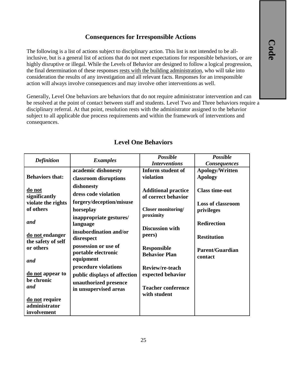# **Consequences for Irresponsible Actions**

The following is a list of actions subject to disciplinary action. This list is not intended to be allinclusive, but is a general list of actions that do not meet expectations for responsible behaviors, or are highly disruptive or illegal. While the Levels of Behavior are designed to follow a logical progression, the final determination of these responses rests with the building administration, who will take into consideration the results of any investigation and all relevant facts. Responses for an irresponsible action will always involve consequences and may involve other interventions as well.

Generally, Level One behaviors are behaviors that do not require administrator intervention and can be resolved at the point of contact between staff and students. Level Two and Three behaviors require a disciplinary referral. At that point, resolution rests with the administrator assigned to the behavior subject to all applicable due process requirements and within the framework of interventions and consequences.

| <b>Definition</b>                                                                       | <b>Examples</b>                                                                                                                                                 | <b>Possible</b>                                                                             | <b>Possible</b>                                                               |
|-----------------------------------------------------------------------------------------|-----------------------------------------------------------------------------------------------------------------------------------------------------------------|---------------------------------------------------------------------------------------------|-------------------------------------------------------------------------------|
|                                                                                         |                                                                                                                                                                 | <b>Interventions</b>                                                                        | <b>Consequences</b>                                                           |
|                                                                                         | academic dishonesty                                                                                                                                             | Inform student of                                                                           | Apology/Written                                                               |
| <b>Behaviors that:</b>                                                                  | classroom disruptions                                                                                                                                           | violation                                                                                   | <b>Apology</b>                                                                |
| do not<br>significantly<br>violate the rights                                           | dishonesty<br>dress code violation<br>forgery/deception/misuse                                                                                                  | <b>Additional practice</b><br>of correct behavior                                           | <b>Class time-out</b><br><b>Loss of classroom</b>                             |
| of others                                                                               | horseplay                                                                                                                                                       | <b>Closer monitoring/</b>                                                                   | privileges                                                                    |
| and<br>do not endanger<br>the safety of self<br>or others<br>and                        | inappropriate gestures/<br>language<br>insubordination and/or<br>disrespect<br>possession or use of<br>portable electronic<br>equipment<br>procedure violations | proximity<br><b>Discussion with</b><br>peers)<br><b>Responsible</b><br><b>Behavior Plan</b> | <b>Redirection</b><br><b>Restitution</b><br><b>Parent/Guardian</b><br>contact |
| do not appear to<br>be chronic<br>and<br>do not require<br>administrator<br>involvement | public displays of affection<br>unauthorized presence<br>in unsupervised areas                                                                                  | Review/re-teach<br>expected behavior<br><b>Teacher conference</b><br>with student           |                                                                               |

# **Level One Behaviors**

25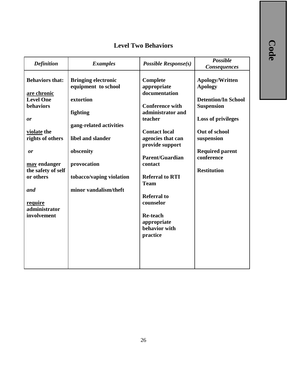# **Level Two Behaviors**

| <b>Definition</b>                                                                                                                                                                                                          | <b>Examples</b>                                                                                                                                                                                             | Possible $Response(s)$                                                                                                                                                                                                                                                                                                                             | <b>Possible</b><br><b>Consequences</b>                                                                                                                                                                         |
|----------------------------------------------------------------------------------------------------------------------------------------------------------------------------------------------------------------------------|-------------------------------------------------------------------------------------------------------------------------------------------------------------------------------------------------------------|----------------------------------------------------------------------------------------------------------------------------------------------------------------------------------------------------------------------------------------------------------------------------------------------------------------------------------------------------|----------------------------------------------------------------------------------------------------------------------------------------------------------------------------------------------------------------|
| <b>Behaviors that:</b><br>are chronic<br><b>Level One</b><br>behaviors<br>or<br>violate the<br>rights of others<br>or<br>may endanger<br>the safety of self<br>or others<br>and<br>require<br>administrator<br>involvement | <b>Bringing electronic</b><br>equipment to school<br>extortion<br>fighting<br>gang-related activities<br>libel and slander<br>obscenity<br>provocation<br>tobacco/vaping violation<br>minor vandalism/theft | Complete<br>appropriate<br>documentation<br><b>Conference with</b><br>administrator and<br>teacher<br><b>Contact local</b><br>agencies that can<br>provide support<br><b>Parent/Guardian</b><br>contact<br><b>Referral to RTI</b><br><b>Team</b><br><b>Referral to</b><br>counselor<br><b>Re-teach</b><br>appropriate<br>behavior with<br>practice | Apology/Written<br><b>Apology</b><br><b>Detention/In School</b><br><b>Suspension</b><br><b>Loss of privileges</b><br>Out of school<br>suspension<br><b>Required parent</b><br>conference<br><b>Restitution</b> |
|                                                                                                                                                                                                                            |                                                                                                                                                                                                             |                                                                                                                                                                                                                                                                                                                                                    |                                                                                                                                                                                                                |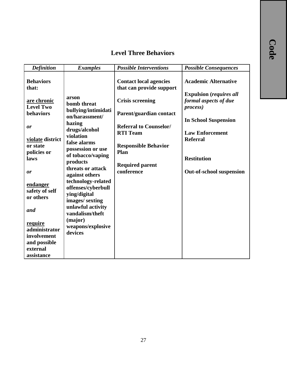# **Level Three Behaviors**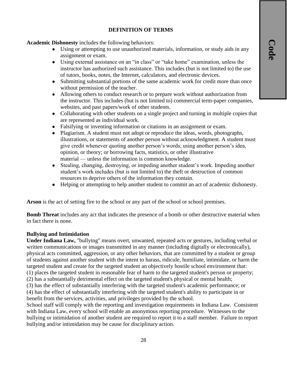# **DEFINITION OF TERMS**

**Academic Dishonesty** includes the following behaviors:

- Using or attempting to use unauthorized materials, information, or study aids in any assignment or exam.
- Using external assistance on an "in class" or "take home" examination, unless the instructor has authorized such assistance. This includes (but is not limited to) the use of tutors, books, notes, the Internet, calculators, and electronic devices.
- Submitting substantial portions of the same academic work for credit more than once without permission of the teacher.
- Allowing others to conduct research or to prepare work without authorization from the instructor. This includes (but is not limited to) commercial term-paper companies, websites, and past papers/work of other students.
- Collaborating with other students on a single project and turning in multiple copies that are represented as individual work.
- Falsifying or inventing information or citations in an assignment or exam.
- Plagiarism. A student must not adopt or reproduce the ideas, words, photographs, illustrations, or statements of another person without acknowledgment. A student must give credit whenever quoting another person's words; using another person's idea, opinion, or theory; or borrowing facts, statistics, or other illustrative material — unless the information is common knowledge.
- Stealing, changing, destroying, or impeding another student's work. Impeding another student's work includes (but is not limited to) the theft or destruction of common resources to deprive others of the information they contain.
- Helping or attempting to help another student to commit an act of academic dishonesty.

**Arson** is the act of setting fire to the school or any part of the school or school premises.

**Bomb Threat** includes any act that indicates the presence of a bomb or other destructive material when in fact there is none.

#### **Bullying and Intimidation**

**Under Indiana Law,** "bullying" means overt, unwanted, repeated acts or gestures, including verbal or written communications or images transmitted in any manner (including digitally or electronically), physical acts committed, aggression, or any other behaviors, that are committed by a student or group of students against another student with the intent to harass, ridicule, humiliate, intimidate, or harm the targeted student and create for the targeted student an objectively hostile school environment that: (1) places the targeted student in reasonable fear of harm to the targeted student's person or property;

(2) has a substantially detrimental effect on the targeted student's physical or mental health;

(3) has the effect of substantially interfering with the targeted student's academic performance; or (4) has the effect of substantially interfering with the targeted student's ability to participate in or benefit from the services, activities, and privileges provided by the school.

School staff will comply with the reporting and investigation requirements in Indiana Law. Consistent with Indiana Law, every school will enable an anonymous reporting procedure. Witnesses to the bullying or intimidation of another student are required to report it to a staff member. Failure to report bullying and/or intimidation may be cause for disciplinary action.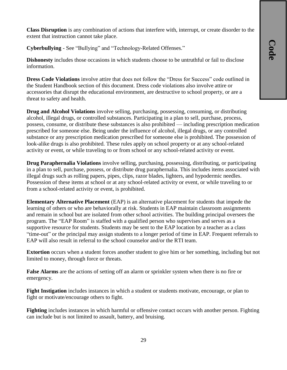**Class Disruption** is any combination of actions that interfere with, interrupt, or create disorder to the extent that instruction cannot take place.

**Cyberbullying** - See "Bullying" and "Technology-Related Offenses."

**Dishonesty** includes those occasions in which students choose to be untruthful or fail to disclose information.

**Dress Code Violations** involve attire that does not follow the "Dress for Success" code outlined in the Student Handbook section of this document. Dress code violations also involve attire or accessories that disrupt the educational environment, are destructive to school property, or are a threat to safety and health.

**Drug and Alcohol Violations** involve selling, purchasing, possessing, consuming, or distributing alcohol, illegal drugs, or controlled substances. Participating in a plan to sell, purchase, process, possess, consume, or distribute these substances is also prohibited — including prescription medication prescribed for someone else. Being under the influence of alcohol, illegal drugs, or any controlled substance or any prescription medication prescribed for someone else is prohibited. The possession of look-alike drugs is also prohibited. These rules apply on school property or at any school-related activity or event, or while traveling to or from school or any school-related activity or event.

**Drug Paraphernalia Violations** involve selling, purchasing, possessing, distributing, or participating in a plan to sell, purchase, possess, or distribute drug paraphernalia. This includes items associated with illegal drugs such as rolling papers, pipes, clips, razor blades, lighters, and hypodermic needles. Possession of these items at school or at any school-related activity or event, or while traveling to or from a school-related activity or event, is prohibited.

**Elementary Alternative Placement** (EAP) is an alternative placement for students that impede the learning of others or who are behaviorally at risk. Students in EAP maintain classroom assignments and remain in school but are isolated from other school activities. The building principal oversees the program. The "EAP Room" is staffed with a qualified person who supervises and serves as a supportive resource for students. Students may be sent to the EAP location by a teacher as a class "time-out" or the principal may assign students to a longer period of time in EAP. Frequent referrals to EAP will also result in referral to the school counselor and/or the RTI team.

**Extortion** occurs when a student forces another student to give him or her something, including but not limited to money, through force or threats.

**False Alarms** are the actions of setting off an alarm or sprinkler system when there is no fire or emergency.

**Fight Instigation** includes instances in which a student or students motivate, encourage, or plan to fight or motivate/encourage others to fight.

**Fighting** includes instances in which harmful or offensive contact occurs with another person. Fighting can include but is not limited to assault, battery, and bruising.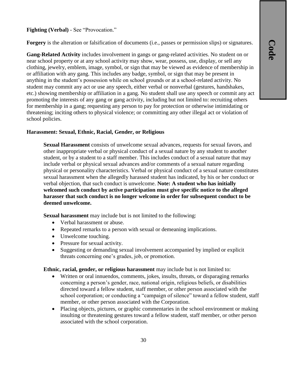#### **Fighting (Verbal)** - See "Provocation."

**Forgery** is the alteration or falsification of documents (i.e., passes or permission slips) or signatures.

**Gang-Related Activity** includes involvement in gangs or gang-related activities. No student on or near school property or at any school activity may show, wear, possess, use, display, or sell any clothing, jewelry, emblem, image, symbol, or sign that may be viewed as evidence of membership in or affiliation with any gang. This includes any badge, symbol, or sign that may be present in anything in the student's possession while on school grounds or at a school-related activity. No student may commit any act or use any speech, either verbal or nonverbal (gestures, handshakes, etc.) showing membership or affiliation in a gang. No student shall use any speech or commit any act promoting the interests of any gang or gang activity, including but not limited to: recruiting others for membership in a gang; requesting any person to pay for protection or otherwise intimidating or threatening; inciting others to physical violence; or committing any other illegal act or violation of school policies.

#### **Harassment: Sexual, Ethnic, Racial, Gender, or Religious**

**Sexual Harassment** consists of unwelcome sexual advances, requests for sexual favors, and other inappropriate verbal or physical conduct of a sexual nature by any student to another student, or by a student to a staff member. This includes conduct of a sexual nature that may include verbal or physical sexual advances and/or comments of a sexual nature regarding physical or personality characteristics. Verbal or physical conduct of a sexual nature constitutes sexual harassment when the allegedly harassed student has indicated, by his or her conduct or verbal objection, that such conduct is unwelcome. **Note: A student who has initially welcomed such conduct by active participation must give specific notice to the alleged harasser that such conduct is no longer welcome in order for subsequent conduct to be deemed unwelcome.**

**Sexual harassment** may include but is not limited to the following:

- Verbal harassment or abuse.
- Repeated remarks to a person with sexual or demeaning implications.
- Unwelcome touching.
- Pressure for sexual activity.
- Suggesting or demanding sexual involvement accompanied by implied or explicit threats concerning one's grades, job, or promotion.

**Ethnic, racial, gender, or religious harassment** may include but is not limited to:

- Written or oral innuendos, comments, jokes, insults, threats, or disparaging remarks concerning a person's gender, race, national origin, religious beliefs, or disabilities directed toward a fellow student, staff member, or other person associated with the school corporation; or conducting a "campaign of silence" toward a fellow student, staff member, or other person associated with the Corporation.
- Placing objects, pictures, or graphic commentaries in the school environment or making insulting or threatening gestures toward a fellow student, staff member, or other person associated with the school corporation.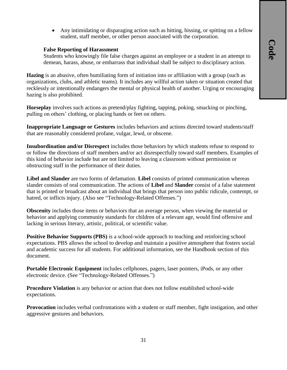Any intimidating or disparaging action such as hitting, hissing, or spitting on a fellow student, staff member, or other person associated with the corporation.

#### **False Reporting of Harassment**

Students who knowingly file false charges against an employee or a student in an attempt to demean, harass, abuse, or embarrass that individual shall be subject to disciplinary action.

**Hazing** is an abusive, often humiliating form of initiation into or affiliation with a group (such as organizations, clubs, and athletic teams). It includes any willful action taken or situation created that recklessly or intentionally endangers the mental or physical health of another. Urging or encouraging hazing is also prohibited.

**Horseplay** involves such actions as pretend/play fighting, tapping, poking, smacking or pinching, pulling on others' clothing, or placing hands or feet on others.

**Inappropriate Language or Gestures** includes behaviors and actions directed toward students/staff that are reasonably considered profane, vulgar, lewd, or obscene.

**Insubordination and/or Disrespect** includes those behaviors by which students refuse to respond to or follow the directions of staff members and/or act disrespectfully toward staff members. Examples of this kind of behavior include but are not limited to leaving a classroom without permission or obstructing staff in the performance of their duties.

**Libel and Slander** are two forms of defamation. **Libel** consists of printed communication whereas slander consists of oral communication. The actions of **Libel** and **Slander** consist of a false statement that is printed or broadcast about an individual that brings that person into public ridicule, contempt, or hatred, or inflicts injury. (Also see "Technology-Related Offenses.")

**Obscenity** includes those items or behaviors that an average person, when viewing the material or behavior and applying community standards for children of a relevant age, would find offensive and lacking in serious literary, artistic, political, or scientific value.

**Positive Behavior Supports (PBS)** is a school-wide approach to teaching and reinforcing school expectations. PBS allows the school to develop and maintain a positive atmosphere that fosters social and academic success for all students. For additional information, see the Handbook section of this document.

**Portable Electronic Equipment** includes cellphones, pagers, laser pointers, iPods, or any other electronic device. (See "Technology-Related Offenses.")

**Procedure Violation** is any behavior or action that does not follow established school-wide expectations.

**Provocation** includes verbal confrontations with a student or staff member, fight instigation, and other aggressive gestures and behaviors.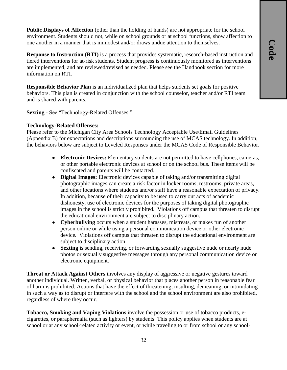**Public Displays of Affection** (other than the holding of hands) are not appropriate for the school environment. Students should not, while on school grounds or at school functions, show affection to one another in a manner that is immodest and/or draws undue attention to themselves.

**Response to Instruction (RTI)** is a process that provides systematic, research-based instruction and tiered interventions for at-risk students. Student progress is continuously monitored as interventions are implemented, and are reviewed/revised as needed. Please see the Handbook section for more information on RTI.

**Responsible Behavior Plan** is an individualized plan that helps students set goals for positive behaviors. This plan is created in conjunction with the school counselor, teacher and/or RTI team and is shared with parents.

**Sexting** - See "Technology-Related Offenses."

#### **Technology-Related Offenses:**

Please refer to the Michigan City Area Schools Technology Acceptable Use/Email Guidelines (Appendix B) for expectations and descriptions surrounding the use of MCAS technology. In addition, the behaviors below are subject to Leveled Responses under the MCAS Code of Responsible Behavior.

- **Electronic Devices:** Elementary students are not permitted to have cellphones, cameras, or other portable electronic devices at school or on the school bus. These items will be confiscated and parents will be contacted.
- **Digital Images:** Electronic devices capable of taking and/or transmitting digital photographic images can create a risk factor in locker rooms, restrooms, private areas, and other locations where students and/or staff have a reasonable expectation of privacy. In addition, because of their capacity to be used to carry out acts of academic dishonesty, use of electronic devices for the purposes of taking digital photographic images in the school is strictly prohibited. Violations off campus that threaten to disrupt the educational environment are subject to disciplinary action.
- **Cyberbullying** occurs when a student harasses, mistreats, or makes fun of another person online or while using a personal communication device or other electronic device. Violations off campus that threaten to disrupt the educational environment are subject to disciplinary action
- **Sexting** is sending, receiving, or forwarding sexually suggestive nude or nearly nude photos or sexually suggestive messages through any personal communication device or electronic equipment.

**Threat or Attack Against Others** involves any display of aggressive or negative gestures toward another individual. Written, verbal, or physical behavior that places another person in reasonable fear of harm is prohibited. Actions that have the effect of threatening, insulting, demeaning, or intimidating in such a way as to disrupt or interfere with the school and the school environment are also prohibited, regardless of where they occur.

**Tobacco, Smoking and Vaping Violations** involve the possession or use of tobacco products, ecigarettes, or paraphernalia (such as lighters) by students. This policy applies when students are at school or at any school-related activity or event, or while traveling to or from school or any school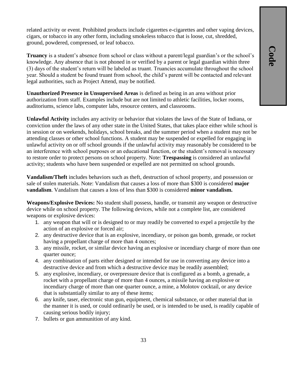related activity or event. Prohibited products include cigarettes e-cigarettes and other vaping devices, cigars, or tobacco in any other form, including smokeless tobacco that is loose, cut, shredded, ground, powdered, compressed, or leaf tobacco.

**Truancy** is a student's absence from school or class without a parent/legal guardian's or the school's knowledge. Any absence that is not phoned in or verified by a parent or legal guardian within three (3) days of the student's return will be labeled as truant. Truancies accumulate throughout the school year. Should a student be found truant from school, the child's parent will be contacted and relevant legal authorities, such as Project Attend, may be notified.

**Unauthorized Presence in Unsupervised Areas** is defined as being in an area without prior authorization from staff. Examples include but are not limited to athletic facilities, locker rooms, auditoriums, science labs, computer labs, resource centers, and classrooms.

**Unlawful Activity** includes any activity or behavior that violates the laws of the State of Indiana, or conviction under the laws of any other state in the United States, that takes place either while school is in session or on weekends, holidays, school breaks, and the summer period when a student may not be attending classes or other school functions. A student may be suspended or expelled for engaging in unlawful activity on or off school grounds if the unlawful activity may reasonably be considered to be an interference with school purposes or an educational function, or the student's removal is necessary to restore order to protect persons on school property. Note: **Trespassing** is considered an unlawful activity; students who have been suspended or expelled are not permitted on school grounds.

**Vandalism/Theft** includes behaviors such as theft, destruction of school property, and possession or sale of stolen materials. Note: Vandalism that causes a loss of more than \$300 is considered **major vandalism**. Vandalism that causes a loss of less than \$300 is considered **minor vandalism.**

**Weapons/Explosive Devices:** No student shall possess, handle, or transmit any weapon or destructive device while on school property. The following devices, while not a complete list, are considered weapons or explosive devices:

- 1. any weapon that will or is designed to or may readily be converted to expel a projectile by the action of an explosive or forced air;
- 2. any destructive device that is an explosive, incendiary, or poison gas bomb, grenade, or rocket having a propellant charge of more than 4 ounces;
- 3. any missile, rocket, or similar device having an explosive or incendiary charge of more than one quarter ounce;
- 4. any combination of parts either designed or intended for use in converting any device into a destructive device and from which a destructive device may be readily assembled;
- 5. any explosive, incendiary, or overpressure device that is configured as a bomb, a grenade, a rocket with a propellant charge of more than 4 ounces, a missile having an explosive or incendiary charge of more than one quarter ounce, a mine, a Molotov cocktail, or any device that is substantially similar to any of these items;
- 6. any knife, taser, electronic stun gun, equipment, chemical substance, or other material that in the manner it is used, or could ordinarily be used, or is intended to be used, is readily capable of causing serious bodily injury;
- 7. bullets or gun ammunition of any kind.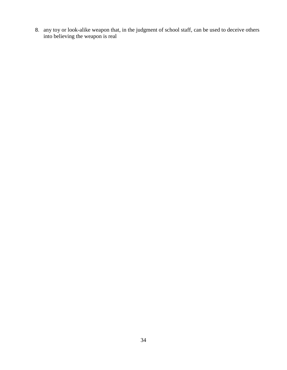8. any toy or look-alike weapon that, in the judgment of school staff, can be used to deceive others into believing the weapon is real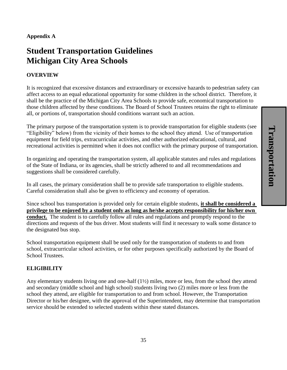#### **Appendix A**

# **Student Transportation Guidelines Michigan City Area Schools**

#### **OVERVIEW**

It is recognized that excessive distances and extraordinary or excessive hazards to pedestrian safety can affect access to an equal educational opportunity for some children in the school district. Therefore, it shall be the practice of the Michigan City Area Schools to provide safe, economical transportation to those children affected by these conditions. The Board of School Trustees retains the right to eliminate all, or portions of, transportation should conditions warrant such an action.

The primary purpose of the transportation system is to provide transportation for eligible students (see "Eligibility" below) from the vicinity of their homes to the school they attend. Use of transportation equipment for field trips, extracurricular activities, and other authorized educational, cultural, and recreational activities is permitted when it does not conflict with the primary purpose of transportation.

In organizing and operating the transportation system, all applicable statutes and rules and regulations of the State of Indiana, or its agencies, shall be strictly adhered to and all recommendations and suggestions shall be considered carefully.

In all cases, the primary consideration shall be to provide safe transportation to eligible students. Careful consideration shall also be given to efficiency and economy of operation.

Since school bus transportation is provided only for certain eligible students, **it shall be considered a privilege to be enjoyed by a student only as long as he/she accepts responsibility for his/her own conduct.** The student is to carefully follow all rules and regulations and promptly respond to the directions and requests of the bus driver. Most students will find it necessary to walk some distance to the designated bus stop.

School transportation equipment shall be used only for the transportation of students to and from school, extracurricular school activities, or for other purposes specifically authorized by the Board of School Trustees.

#### **ELIGIBILITY**

Any elementary students living one and one-half  $(1/2)$  miles, more or less, from the school they attend and secondary (middle school and high school) students living two (2) miles more or less from the school they attend, are eligible for transportation to and from school. However, the Transportation Director or his/her designee, with the approval of the Superintendent, may determine that transportation service should be extended to selected students within these stated distances.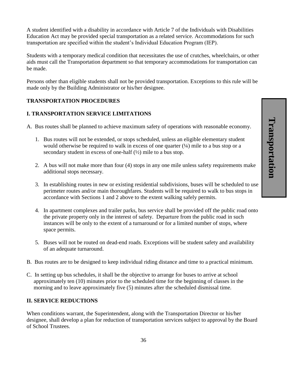A student identified with a disability in accordance with Article 7 of the Individuals with Disabilities Education Act may be provided special transportation as a related service. Accommodations for such transportation are specified within the student's Individual Education Program (IEP).

Students with a temporary medical condition that necessitates the use of crutches, wheelchairs, or other aids must call the Transportation department so that temporary accommodations for transportation can be made.

Persons other than eligible students shall not be provided transportation. Exceptions to this rule will be made only by the Building Administrator or his/her designee.

#### **TRANSPORTATION PROCEDURES**

#### **I. TRANSPORTATION SERVICE LIMITATIONS**

A. Bus routes shall be planned to achieve maximum safety of operations with reasonable economy.

- 1. Bus routes will not be extended, or stops scheduled, unless an eligible elementary student would otherwise be required to walk in excess of one quarter  $(4)$  mile to a bus stop or a secondary student in excess of one-half  $(\frac{1}{2})$  mile to a bus stop.
- 2. A bus will not make more than four (4) stops in any one mile unless safety requirements make additional stops necessary.
- 3. In establishing routes in new or existing residential subdivisions, buses will be scheduled to use perimeter routes and/or main thoroughfares. Students will be required to walk to bus stops in accordance with Sections 1 and 2 above to the extent walking safely permits.
- 4. In apartment complexes and trailer parks, bus service shall be provided off the public road onto the private property only in the interest of safety. Departure from the public road in such instances will be only to the extent of a turnaround or for a limited number of stops, where space permits.
- 5. Buses will not be routed on dead-end roads. Exceptions will be student safety and availability of an adequate turnaround.
- B. Bus routes are to be designed to keep individual riding distance and time to a practical minimum.
- C. In setting up bus schedules, it shall be the objective to arrange for buses to arrive at school approximately ten (10) minutes prior to the scheduled time for the beginning of classes in the morning and to leave approximately five (5) minutes after the scheduled dismissal time.

#### **II. SERVICE REDUCTIONS**

When conditions warrant, the Superintendent, along with the Transportation Director or his/her designee, shall develop a plan for reduction of transportation services subject to approval by the Board of School Trustees.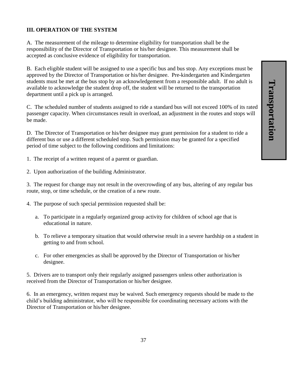# **III. OPERATION OF THE SYSTEM**

A. The measurement of the mileage to determine eligibility for transportation shall be the responsibility of the Director of Transportation or his/her designee. This measurement shall be accepted as conclusive evidence of eligibility for transportation.

B. Each eligible student will be assigned to use a specific bus and bus stop. Any exceptions must be approved by the Director of Transportation or his/her designee. Pre-kindergarten and Kindergarten students must be met at the bus stop by an acknowledgement from a responsible adult. If no adult is available to acknowledge the student drop off, the student will be returned to the transportation department until a pick up is arranged.

C. The scheduled number of students assigned to ride a standard bus will not exceed 100% of its rated passenger capacity. When circumstances result in overload, an adjustment in the routes and stops will be made.

D. The Director of Transportation or his/her designee may grant permission for a student to ride a different bus or use a different scheduled stop. Such permission may be granted for a specified period of time subject to the following conditions and limitations:

- 1. The receipt of a written request of a parent or guardian.
- 2. Upon authorization of the building Administrator.

3. The request for change may not result in the overcrowding of any bus, altering of any regular bus route, stop, or time schedule, or the creation of a new route.

- 4. The purpose of such special permission requested shall be:
	- a. To participate in a regularly organized group activity for children of school age that is educational in nature.
	- b. To relieve a temporary situation that would otherwise result in a severe hardship on a student in getting to and from school.
	- c. For other emergencies as shall be approved by the Director of Transportation or his/her designee.

5. Drivers are to transport only their regularly assigned passengers unless other authorization is received from the Director of Transportation or his/her designee.

6. In an emergency, written request may be waived. Such emergency requests should be made to the child's building administrator, who will be responsible for coordinating necessary actions with the Director of Transportation or his/her designee.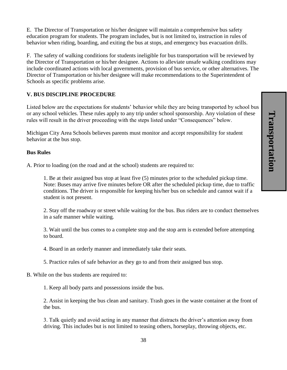E. The Director of Transportation or his/her designee will maintain a comprehensive bus safety education program for students. The program includes, but is not limited to, instruction in rules of behavior when riding, boarding, and exiting the bus at stops, and emergency bus evacuation drills.

F. The safety of walking conditions for students ineligible for bus transportation will be reviewed by the Director of Transportation or his/her designee. Actions to alleviate unsafe walking conditions may include coordinated actions with local governments, provision of bus service, or other alternatives. The Director of Transportation or his/her designee will make recommendations to the Superintendent of Schools as specific problems arise.

# **V. BUS DISCIPLINE PROCEDURE**

Listed below are the expectations for students' behavior while they are being transported by school bus or any school vehicles. These rules apply to any trip under school sponsorship. Any violation of these rules will result in the driver proceeding with the steps listed under "Consequences" below.

Michigan City Area Schools believes parents must monitor and accept responsibility for student behavior at the bus stop.

#### **Bus Rules**

A. Prior to loading (on the road and at the school) students are required to:

1. Be at their assigned bus stop at least five (5) minutes prior to the scheduled pickup time. Note: Buses may arrive five minutes before OR after the scheduled pickup time, due to traffic conditions. The driver is responsible for keeping his/her bus on schedule and cannot wait if a student is not present.

2. Stay off the roadway or street while waiting for the bus. Bus riders are to conduct themselves in a safe manner while waiting.

3. Wait until the bus comes to a complete stop and the stop arm is extended before attempting to board.

4. Board in an orderly manner and immediately take their seats.

5. Practice rules of safe behavior as they go to and from their assigned bus stop.

B. While on the bus students are required to:

1. Keep all body parts and possessions inside the bus.

2. Assist in keeping the bus clean and sanitary. Trash goes in the waste container at the front of the bus.

3. Talk quietly and avoid acting in any manner that distracts the driver's attention away from driving. This includes but is not limited to teasing others, horseplay, throwing objects, etc.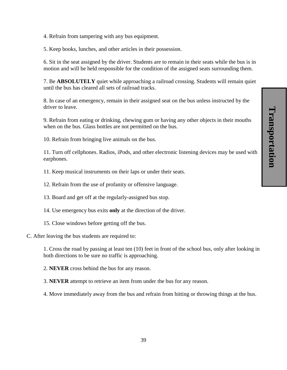4. Refrain from tampering with any bus equipment.

5. Keep books, lunches, and other articles in their possession.

6. Sit in the seat assigned by the driver. Students are to remain in their seats while the bus is in motion and will be held responsible for the condition of the assigned seats surrounding them.

7. Be **ABSOLUTELY** quiet while approaching a railroad crossing. Students will remain quiet until the bus has cleared all sets of railroad tracks.

8. In case of an emergency, remain in their assigned seat on the bus unless instructed by the driver to leave.

9. Refrain from eating or drinking, chewing gum or having any other objects in their mouths when on the bus. Glass bottles are not permitted on the bus.

10. Refrain from bringing live animals on the bus.

11. Turn off cellphones. Radios, iPods, and other electronic listening devices may be used with earphones.

11. Keep musical instruments on their laps or under their seats.

12. Refrain from the use of profanity or offensive language.

13. Board and get off at the regularly-assigned bus stop.

- 14. Use emergency bus exits **only** at the direction of the driver.
- 15. Close windows before getting off the bus.

#### C. After leaving the bus students are required to:

1. Cross the road by passing at least ten (10) feet in front of the school bus, only after looking in both directions to be sure no traffic is approaching.

2. **NEVER** cross behind the bus for any reason.

3. **NEVER** attempt to retrieve an item from under the bus for any reason.

4. Move immediately away from the bus and refrain from hitting or throwing things at the bus.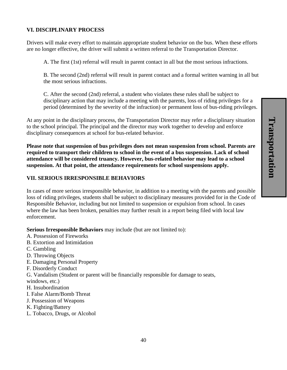#### **VI. DISCIPLINARY PROCESS**

Drivers will make every effort to maintain appropriate student behavior on the bus. When these efforts are no longer effective, the driver will submit a written referral to the Transportation Director.

A. The first (1st) referral will result in parent contact in all but the most serious infractions.

B. The second (2nd) referral will result in parent contact and a formal written warning in all but the most serious infractions.

C. After the second (2nd) referral, a student who violates these rules shall be subject to disciplinary action that may include a meeting with the parents, loss of riding privileges for a period (determined by the severity of the infraction) or permanent loss of bus-riding privileges.

At any point in the disciplinary process, the Transportation Director may refer a disciplinary situation to the school principal. The principal and the director may work together to develop and enforce disciplinary consequences at school for bus-related behavior.

**Please note that suspension of bus privileges does not mean suspension from school. Parents are required to transport their children to school in the event of a bus suspension. Lack of school attendance will be considered truancy. However, bus-related behavior may lead to a school suspension. At that point, the attendance requirements for school suspensions apply.**

#### **VII. SERIOUS IRRESPONSIBLE BEHAVIORS**

In cases of more serious irresponsible behavior, in addition to a meeting with the parents and possible loss of riding privileges, students shall be subject to disciplinary measures provided for in the Code of Responsible Behavior, including but not limited to suspension or expulsion from school. In cases where the law has been broken, penalties may further result in a report being filed with local law enforcement.

**Serious Irresponsible Behaviors** may include (but are not limited to):

- A. Possession of Fireworks
- B. Extortion and Intimidation
- C. Gambling
- D. Throwing Objects
- E. Damaging Personal Property
- F. Disorderly Conduct

G. Vandalism (Student or parent will be financially responsible for damage to seats,

- windows, etc.)
- H. Insubordination
- I. False Alarm/Bomb Threat
- J. Possession of Weapons
- K. Fighting/Battery
- L. Tobacco, Drugs, or Alcohol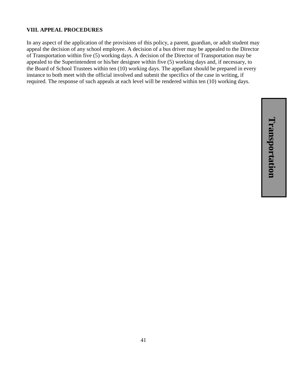#### **VIII. APPEAL PROCEDURES**

In any aspect of the application of the provisions of this policy, a parent, guardian, or adult student may appeal the decision of any school employee. A decision of a bus driver may be appealed to the Director of Transportation within five (5) working days. A decision of the Director of Transportation may be appealed to the Superintendent or his/her designee within five (5) working days and, if necessary, to the Board of School Trustees within ten (10) working days. The appellant should be prepared in every instance to both meet with the official involved and submit the specifics of the case in writing, if required. The response of such appeals at each level will be rendered within ten (10) working days.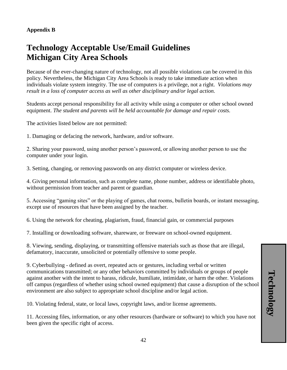# **Technology Acceptable Use/Email Guidelines Michigan City Area Schools**

Because of the ever-changing nature of technology, not all possible violations can be covered in this policy. Nevertheless, the Michigan City Area Schools is ready to take immediate action when individuals violate system integrity. The use of computers is a privilege, not a right. *Violations may result in a loss of computer access as well as other disciplinary and/or legal action.* 

Students accept personal responsibility for all activity while using a computer or other school owned equipment. *The student and parents will be held accountable for damage and repair costs.* 

The activities listed below are not permitted:

1. Damaging or defacing the network, hardware, and/or software.

2. Sharing your password, using another person's password, or allowing another person to use the computer under your login.

3. Setting, changing, or removing passwords on any district computer or wireless device.

4. Giving personal information, such as complete name, phone number, address or identifiable photo, without permission from teacher and parent or guardian.

5. Accessing "gaming sites" or the playing of games, chat rooms, bulletin boards, or instant messaging, except use of resources that have been assigned by the teacher.

6. Using the network for cheating, plagiarism, fraud, financial gain, or commercial purposes

7. Installing or downloading software, shareware, or freeware on school-owned equipment.

8. Viewing, sending, displaying, or transmitting offensive materials such as those that are illegal, defamatory, inaccurate, unsolicited or potentially offensive to some people.

9. Cyberbullying - defined as overt, repeated acts or gestures, including verbal or written communications transmitted; or any other behaviors committed by individuals or groups of people against another with the intent to harass, ridicule, humiliate, intimidate, or harm the other. Violations off campus (regardless of whether using school owned equipment) that cause a disruption of the school environment are also subject to appropriate school discipline and/or legal action.

10. Violating federal, state, or local laws, copyright laws, and/or license agreements.

11. Accessing files, information, or any other resources (hardware or software) to which you have not been given the specific right of access.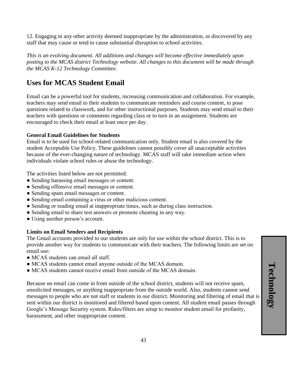12. Engaging in any other activity deemed inappropriate by the administration, or discovered by any staff that may cause or tend to cause substantial disruption to school activities.

*This is an evolving document. All additions and changes will become effective immediately upon posting to the MCAS district Technology website. All changes to this document will be made through the MCAS K-12 Technology Committee.*

# **Uses for MCAS Student Email**

Email can be a powerful tool for students, increasing communication and collaboration. For example, teachers may send email to their students to communicate reminders and course content, to pose questions related to classwork, and for other instructional purposes. Students may send email to their teachers with questions or comments regarding class or to turn in an assignment. Students are encouraged to check their email at least once per day.

# **General Email Guidelines for Students**

Email is to be used for school-related communication only. Student email is also covered by the student Acceptable Use Policy. These guidelines cannot possibly cover all unacceptable activities because of the ever-changing nature of technology. MCAS staff will take immediate action when individuals violate school rules or abuse the technology.

The activities listed below are not permitted:

- Sending harassing email messages or content.
- Sending offensive email messages or content.
- Sending spam email messages or content.
- Sending email containing a virus or other malicious content.
- Sending or reading email at inappropriate times, such as during class instruction.
- Sending email to share test answers or promote cheating in any way.
- Using another person's account.

# **Limits on Email Senders and Recipients**

The Gmail accounts provided to our students are only for use within the school district. This is to provide another way for students to communicate with their teachers. The following limits are set on email use:

- MCAS students can email all staff.
- MCAS students cannot email anyone outside of the MCAS domain.
- MCAS students cannot receive email from outside of the MCAS domain.

Because no email can come in from outside of the school district, students will not receive spam, unsolicited messages, or anything inappropriate from the outside world. Also, students cannot send messages to people who are not staff or students in our district. Monitoring and filtering of email that is sent within our district is monitored and filtered based upon content. All student email passes through Google's Message Security system. Rules/filters are setup to monitor student email for profanity, harassment, and other inappropriate content.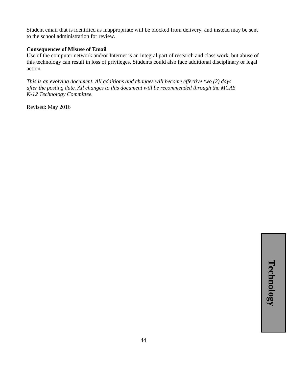Student email that is identified as inappropriate will be blocked from delivery, and instead may be sent to the school administration for review.

#### **Consequences of Misuse of Email**

Use of the computer network and/or Internet is an integral part of research and class work, but abuse of this technology can result in loss of privileges. Students could also face additional disciplinary or legal action.

*This is an evolving document. All additions and changes will become effective two (2) days after the posting date. All changes to this document will be recommended through the MCAS K-12 Technology Committee.*

Revised: May 2016